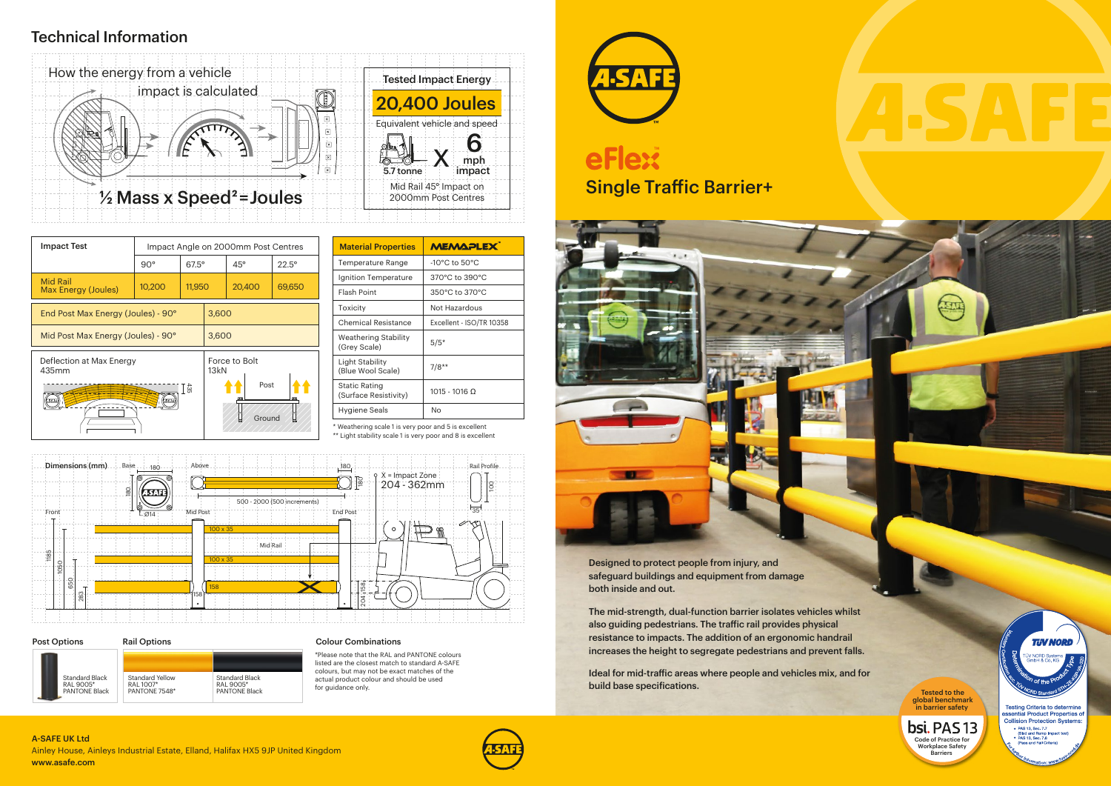

### Technical Information

\* Weathering scale 1 is very poor and 5 is excellent

\*\* Light stability scale 1 is very poor and 8 is excellent

| <b>MEMAPLEX</b>                   |  |  |
|-----------------------------------|--|--|
| $-10^{\circ}$ C to $50^{\circ}$ C |  |  |
| 370°C to 390°C                    |  |  |
| 350°C to 370°C                    |  |  |
| Not Hazardous                     |  |  |
| Excellent - ISO/TR 10358          |  |  |
| $5/5*$                            |  |  |
| $7/8**$                           |  |  |
| $1015 - 1016$ Ω                   |  |  |
| Nο                                |  |  |
|                                   |  |  |

#### Colour Combinations

\*Please note that the RAL and PANTONE colours listed are the closest match to standard A-SAFE colours, but may not be exact matches of the actual product colour and should be used for guidance only.



# Single Traffic Barrier+ **eFlext**



Ainley House, Ainleys Industrial Estate, Elland, Halifax HX5 9JP United Kingdom www.asafe.com A-SAFE UK Ltd







| <b>Impact Test</b>                     | Impact Angle on 2000mm Post Centres |              |                               |            |                |
|----------------------------------------|-------------------------------------|--------------|-------------------------------|------------|----------------|
|                                        | $90^\circ$                          | $67.5^\circ$ |                               | $45^\circ$ | $22.5^{\circ}$ |
| <b>Mid Rail</b><br>Max Energy (Joules) | 10,200                              | 11,950       |                               | 20,400     | 69,650         |
| End Post Max Energy (Joules) - 90°     |                                     |              | 3,600                         |            |                |
| Mid Post Max Energy (Joules) - 90°     |                                     |              | 3,600                         |            |                |
| Deflection at Max Energy<br>435mm      |                                     |              | Force to Bolt<br>13kN<br>Post |            |                |
| T≌<br>SAF                              |                                     |              |                               | Ground     |                |

Designed to protect people from injury, and safeguard buildings and equipment from damage both inside and out.

The mid-strength, dual-function barrier isolates vehicles whilst also guiding pedestrians. The traffic rail provides physical resistance to impacts. The addition of an ergonomic handrail increases the height to segregate pedestrians and prevent falls.

Ideal for mid-traffic areas where people and vehicles mix, and for build base specifications.

global benchmark in barrier safety